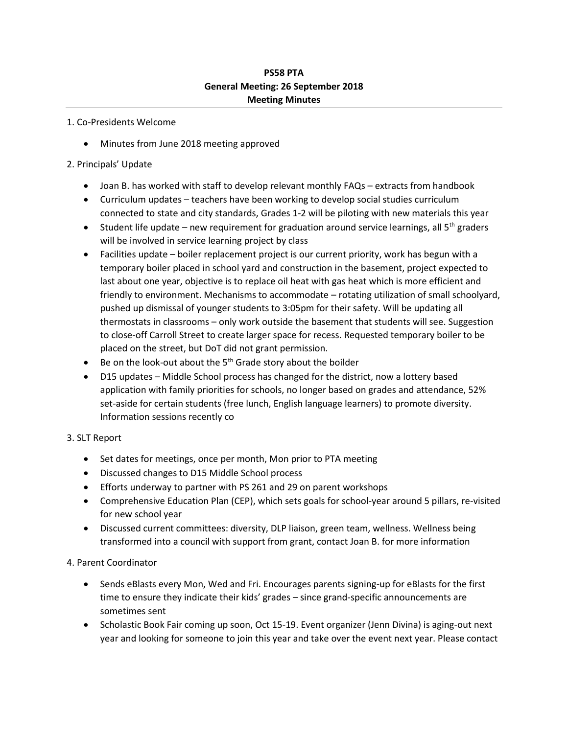## **PS58 PTA General Meeting: 26 September 2018 Meeting Minutes**

#### 1. Co-Presidents Welcome

• Minutes from June 2018 meeting approved

### 2. Principals' Update

- Joan B. has worked with staff to develop relevant monthly FAQs extracts from handbook
- Curriculum updates teachers have been working to develop social studies curriculum connected to state and city standards, Grades 1-2 will be piloting with new materials this year
- **Student life update new requirement for graduation around service learnings, all 5<sup>th</sup> graders** will be involved in service learning project by class
- Facilities update boiler replacement project is our current priority, work has begun with a temporary boiler placed in school yard and construction in the basement, project expected to last about one year, objective is to replace oil heat with gas heat which is more efficient and friendly to environment. Mechanisms to accommodate – rotating utilization of small schoolyard, pushed up dismissal of younger students to 3:05pm for their safety. Will be updating all thermostats in classrooms – only work outside the basement that students will see. Suggestion to close-off Carroll Street to create larger space for recess. Requested temporary boiler to be placed on the street, but DoT did not grant permission.
- $\bullet$  Be on the look-out about the 5<sup>th</sup> Grade story about the boilder
- D15 updates Middle School process has changed for the district, now a lottery based application with family priorities for schools, no longer based on grades and attendance, 52% set-aside for certain students (free lunch, English language learners) to promote diversity. Information sessions recently co

#### 3. SLT Report

- Set dates for meetings, once per month, Mon prior to PTA meeting
- Discussed changes to D15 Middle School process
- Efforts underway to partner with PS 261 and 29 on parent workshops
- Comprehensive Education Plan (CEP), which sets goals for school-year around 5 pillars, re-visited for new school year
- Discussed current committees: diversity, DLP liaison, green team, wellness. Wellness being transformed into a council with support from grant, contact Joan B. for more information

#### 4. Parent Coordinator

- Sends eBlasts every Mon, Wed and Fri. Encourages parents signing-up for eBlasts for the first time to ensure they indicate their kids' grades – since grand-specific announcements are sometimes sent
- Scholastic Book Fair coming up soon, Oct 15-19. Event organizer (Jenn Divina) is aging-out next year and looking for someone to join this year and take over the event next year. Please contact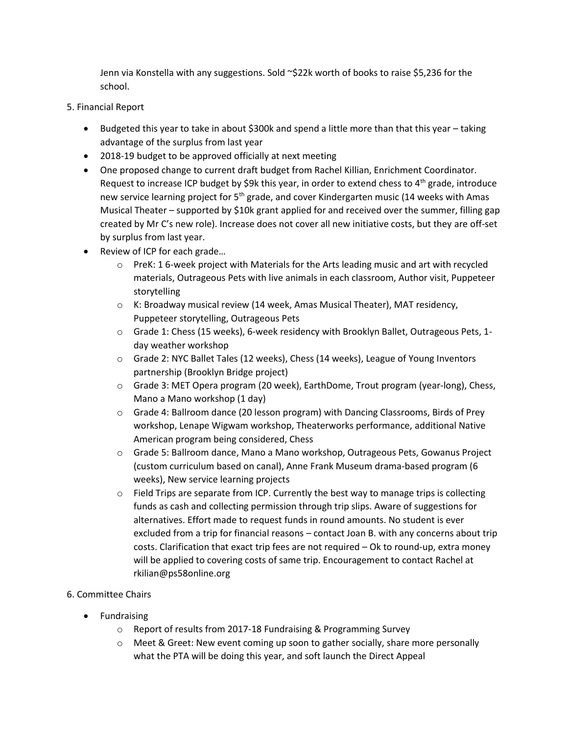Jenn via Konstella with any suggestions. Sold ~\$22k worth of books to raise \$5,236 for the school.

- 5. Financial Report
	- $\bullet$  Budgeted this year to take in about \$300k and spend a little more than that this year taking advantage of the surplus from last year
	- 2018-19 budget to be approved officially at next meeting
	- One proposed change to current draft budget from Rachel Killian, Enrichment Coordinator. Request to increase ICP budget by \$9k this year, in order to extend chess to 4<sup>th</sup> grade, introduce new service learning project for  $5<sup>th</sup>$  grade, and cover Kindergarten music (14 weeks with Amas Musical Theater – supported by \$10k grant applied for and received over the summer, filling gap created by Mr C's new role). Increase does not cover all new initiative costs, but they are off-set by surplus from last year.
	- Review of ICP for each grade...
		- o PreK: 1 6-week project with Materials for the Arts leading music and art with recycled materials, Outrageous Pets with live animals in each classroom, Author visit, Puppeteer storytelling
		- o K: Broadway musical review (14 week, Amas Musical Theater), MAT residency, Puppeteer storytelling, Outrageous Pets
		- o Grade 1: Chess (15 weeks), 6-week residency with Brooklyn Ballet, Outrageous Pets, 1 day weather workshop
		- o Grade 2: NYC Ballet Tales (12 weeks), Chess (14 weeks), League of Young Inventors partnership (Brooklyn Bridge project)
		- o Grade 3: MET Opera program (20 week), EarthDome, Trout program (year-long), Chess, Mano a Mano workshop (1 day)
		- o Grade 4: Ballroom dance (20 lesson program) with Dancing Classrooms, Birds of Prey workshop, Lenape Wigwam workshop, Theaterworks performance, additional Native American program being considered, Chess
		- o Grade 5: Ballroom dance, Mano a Mano workshop, Outrageous Pets, Gowanus Project (custom curriculum based on canal), Anne Frank Museum drama-based program (6 weeks), New service learning projects
		- $\circ$  Field Trips are separate from ICP. Currently the best way to manage trips is collecting funds as cash and collecting permission through trip slips. Aware of suggestions for alternatives. Effort made to request funds in round amounts. No student is ever excluded from a trip for financial reasons – contact Joan B. with any concerns about trip costs. Clarification that exact trip fees are not required – Ok to round-up, extra money will be applied to covering costs of same trip. Encouragement to contact Rachel at rkilian@ps58online.org
- 6. Committee Chairs
	- Fundraising
		- o Report of results from 2017-18 Fundraising & Programming Survey
		- $\circ$  Meet & Greet: New event coming up soon to gather socially, share more personally what the PTA will be doing this year, and soft launch the Direct Appeal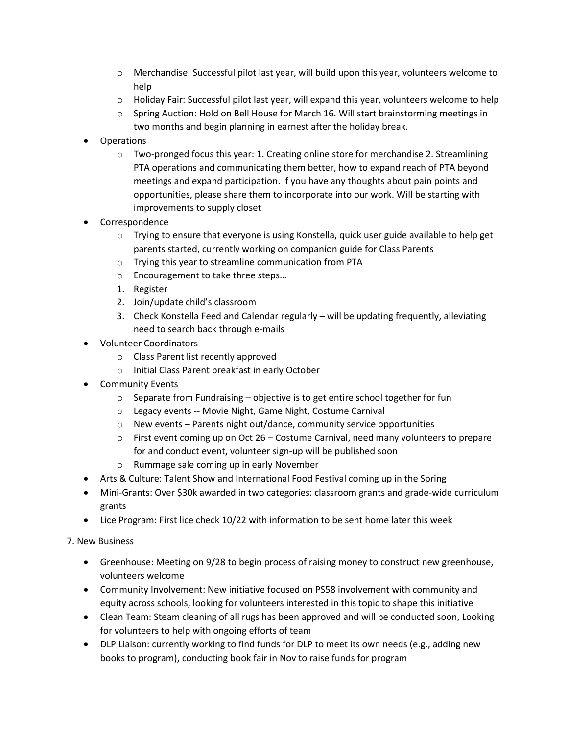- o Merchandise: Successful pilot last year, will build upon this year, volunteers welcome to help
- $\circ$  Holiday Fair: Successful pilot last year, will expand this year, volunteers welcome to help
- o Spring Auction: Hold on Bell House for March 16. Will start brainstorming meetings in two months and begin planning in earnest after the holiday break.
- Operations
	- $\circ$  Two-pronged focus this year: 1. Creating online store for merchandise 2. Streamlining PTA operations and communicating them better, how to expand reach of PTA beyond meetings and expand participation. If you have any thoughts about pain points and opportunities, please share them to incorporate into our work. Will be starting with improvements to supply closet
- Correspondence
	- $\circ$  Trying to ensure that everyone is using Konstella, quick user guide available to help get parents started, currently working on companion guide for Class Parents
	- o Trying this year to streamline communication from PTA
	- o Encouragement to take three steps…
	- 1. Register
	- 2. Join/update child's classroom
	- 3. Check Konstella Feed and Calendar regularly will be updating frequently, alleviating need to search back through e-mails
- Volunteer Coordinators
	- o Class Parent list recently approved
	- o Initial Class Parent breakfast in early October
- Community Events
	- o Separate from Fundraising objective is to get entire school together for fun
	- o Legacy events -- Movie Night, Game Night, Costume Carnival
	- o New events Parents night out/dance, community service opportunities
	- $\circ$  First event coming up on Oct 26 Costume Carnival, need many volunteers to prepare for and conduct event, volunteer sign-up will be published soon
	- o Rummage sale coming up in early November
- Arts & Culture: Talent Show and International Food Festival coming up in the Spring
- Mini-Grants: Over \$30k awarded in two categories: classroom grants and grade-wide curriculum grants
- Lice Program: First lice check 10/22 with information to be sent home later this week

7. New Business

- Greenhouse: Meeting on 9/28 to begin process of raising money to construct new greenhouse, volunteers welcome
- Community Involvement: New initiative focused on PS58 involvement with community and equity across schools, looking for volunteers interested in this topic to shape this initiative
- Clean Team: Steam cleaning of all rugs has been approved and will be conducted soon, Looking for volunteers to help with ongoing efforts of team
- DLP Liaison: currently working to find funds for DLP to meet its own needs (e.g., adding new books to program), conducting book fair in Nov to raise funds for program